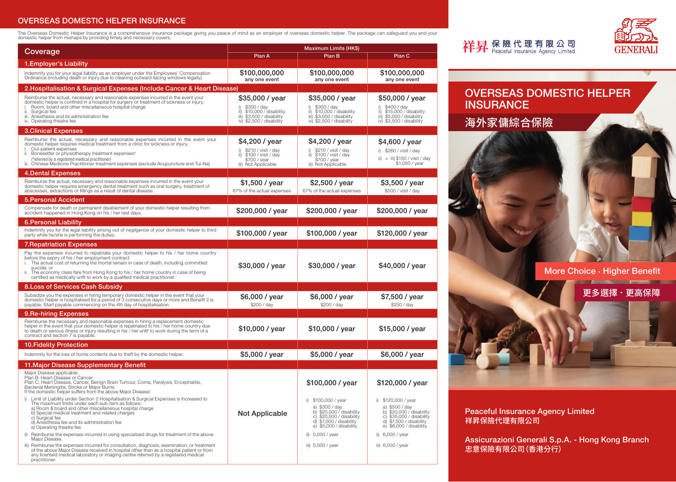## OVERSEAS DOMESTIC HELPER INSURANCE

The Overseas Domestic Helper Insurance is a comprehensive insurance package giving you peace of mind as an employer of overseas domestic helper. The package can safeguard you and your<br>domestic helper from mishaps by provid

| Coverage                                                                                                                                                                                                                                                                                                                                                                                                                                                                                                                                                                                                                                                                                                                                                                                                                                                                                                                                                                                                                                            | <b>Maximum Limits (HK\$)</b>                                                                                                  |                                                                                                                                                                                                                      |                                                                                                                                                                                                                           |  |  |
|-----------------------------------------------------------------------------------------------------------------------------------------------------------------------------------------------------------------------------------------------------------------------------------------------------------------------------------------------------------------------------------------------------------------------------------------------------------------------------------------------------------------------------------------------------------------------------------------------------------------------------------------------------------------------------------------------------------------------------------------------------------------------------------------------------------------------------------------------------------------------------------------------------------------------------------------------------------------------------------------------------------------------------------------------------|-------------------------------------------------------------------------------------------------------------------------------|----------------------------------------------------------------------------------------------------------------------------------------------------------------------------------------------------------------------|---------------------------------------------------------------------------------------------------------------------------------------------------------------------------------------------------------------------------|--|--|
|                                                                                                                                                                                                                                                                                                                                                                                                                                                                                                                                                                                                                                                                                                                                                                                                                                                                                                                                                                                                                                                     | Plan A                                                                                                                        | Plan B                                                                                                                                                                                                               | Plan C                                                                                                                                                                                                                    |  |  |
| 1. Employer's Liability                                                                                                                                                                                                                                                                                                                                                                                                                                                                                                                                                                                                                                                                                                                                                                                                                                                                                                                                                                                                                             |                                                                                                                               |                                                                                                                                                                                                                      |                                                                                                                                                                                                                           |  |  |
| Indemnify you for your legal liability as an employer under the Employees' Compensation<br>Ordinance (including death or injury due to cleaning outward-facing windows legally).                                                                                                                                                                                                                                                                                                                                                                                                                                                                                                                                                                                                                                                                                                                                                                                                                                                                    | \$100,000,000<br>any one event                                                                                                | \$100,000,000<br>any one event                                                                                                                                                                                       | \$100,000,000<br>any one event                                                                                                                                                                                            |  |  |
| 2.Hospitalisation & Surgical Expenses (Include Cancer & Heart Disease)                                                                                                                                                                                                                                                                                                                                                                                                                                                                                                                                                                                                                                                                                                                                                                                                                                                                                                                                                                              |                                                                                                                               |                                                                                                                                                                                                                      |                                                                                                                                                                                                                           |  |  |
| Reimburse the actual, necessary and reasonable expenses incurred in the event your<br>domestic helper is confined in a hospital for surgery or treatment of sickness or injury.<br>Room, board and other miscellaneous hospital charge<br>Surgical fee<br>ii.<br>iii. Anesthesia and its administration fee<br>iv. Operating theatre fee                                                                                                                                                                                                                                                                                                                                                                                                                                                                                                                                                                                                                                                                                                            | \$35,000 / year<br>\$300 / day<br>\$10,000 / disability<br>ii)<br>\$3,500 / disability<br>iii)<br>\$2,500 / disability<br>iv) | \$35,000 / year<br>\$300 / day<br>\$10,000 / disability<br>ii)<br>iii) \$3,500 / disability<br>iv) \$2,500 / disability                                                                                              | \$50,000 / year<br>\$400 / day<br>i)<br>\$15,000 / disability<br>ii)<br>iii) \$5,000 / disability<br>iv) \$3,500 / disability                                                                                             |  |  |
| <b>3.Clinical Expenses</b>                                                                                                                                                                                                                                                                                                                                                                                                                                                                                                                                                                                                                                                                                                                                                                                                                                                                                                                                                                                                                          |                                                                                                                               |                                                                                                                                                                                                                      |                                                                                                                                                                                                                           |  |  |
| Reimburse the actual, necessary and reasonable expenses incurred in the event your<br>domestic helper requires medical treatment from a clinic for sickness or injury.<br>Out-patient expenses<br>Bonesetter or physiotherapy treatment expenses <sup>#</sup><br>ii.<br>(*referred by a registered medical practitioner)<br>Chinese Medicine Practitioner treatment expenses (exclude Acupuncture and Tui-Na)                                                                                                                                                                                                                                                                                                                                                                                                                                                                                                                                                                                                                                       | \$4,200 / year<br>\$210 / visit / day<br>\$100 / visit / day<br>ii)<br>\$700 / year<br>iii) Not Applicable                    | \$4,200 / year<br>\$210 / visit / day<br>\$100 / visit / day<br>ii)<br>\$700 / year<br>iii) Not Applicable                                                                                                           | \$4,600 / year<br>i) $$260 / visit / day$<br>ii) $+$ iii) \$150 / visit / day<br>\$1,050 / year                                                                                                                           |  |  |
| 4.Dental Expenses                                                                                                                                                                                                                                                                                                                                                                                                                                                                                                                                                                                                                                                                                                                                                                                                                                                                                                                                                                                                                                   |                                                                                                                               |                                                                                                                                                                                                                      |                                                                                                                                                                                                                           |  |  |
| Reimburse the actual, necessary and reasonable expenses incurred in the event your<br>domestic helper requires emergency dental treatment such as oral surgery, treatment of<br>abscesses, extractions or fillings as a result of dental disease.                                                                                                                                                                                                                                                                                                                                                                                                                                                                                                                                                                                                                                                                                                                                                                                                   | \$1,500 / year<br>67% of the actual expenses                                                                                  | \$2,500 / year<br>67% of the actual expenses                                                                                                                                                                         | \$3,500 / year<br>\$500 / visit / day                                                                                                                                                                                     |  |  |
| <b>5.Personal Accident</b>                                                                                                                                                                                                                                                                                                                                                                                                                                                                                                                                                                                                                                                                                                                                                                                                                                                                                                                                                                                                                          |                                                                                                                               |                                                                                                                                                                                                                      |                                                                                                                                                                                                                           |  |  |
| Compensate for death or permanent disablement of your domestic helper resulting from<br>accident happened in Hong Kong on his / her rest days.                                                                                                                                                                                                                                                                                                                                                                                                                                                                                                                                                                                                                                                                                                                                                                                                                                                                                                      | \$200,000 / year                                                                                                              | \$200,000 / year                                                                                                                                                                                                     | \$200,000 / year                                                                                                                                                                                                          |  |  |
| <b>6. Personal Liability</b><br>Indemnify you for the legal liability arising out of negligence of your domestic helper to third<br>party while he/she is performing the duties.                                                                                                                                                                                                                                                                                                                                                                                                                                                                                                                                                                                                                                                                                                                                                                                                                                                                    | \$100,000 / year                                                                                                              | \$100,000 / year                                                                                                                                                                                                     | \$120,000 / year                                                                                                                                                                                                          |  |  |
| <b>7. Repatriation Expenses</b>                                                                                                                                                                                                                                                                                                                                                                                                                                                                                                                                                                                                                                                                                                                                                                                                                                                                                                                                                                                                                     |                                                                                                                               |                                                                                                                                                                                                                      |                                                                                                                                                                                                                           |  |  |
| Pay the expenses incurred to repatriate your domestic helper to his / her home country<br>before the expiry of his / her employment contract<br>The actual cost of returning the mortal remain in case of death, including committed<br>suicide; or<br>The economy class fare from Hong Kong to his / her home country in case of being<br>certified as medically unfit to work by a qualified medical practitioner.                                                                                                                                                                                                                                                                                                                                                                                                                                                                                                                                                                                                                                | \$30,000 / year                                                                                                               | \$30,000 / year                                                                                                                                                                                                      | \$40,000 / year                                                                                                                                                                                                           |  |  |
| 8. Loss of Services Cash Subsidy                                                                                                                                                                                                                                                                                                                                                                                                                                                                                                                                                                                                                                                                                                                                                                                                                                                                                                                                                                                                                    |                                                                                                                               |                                                                                                                                                                                                                      |                                                                                                                                                                                                                           |  |  |
| Subsidize you the expenses in hiring temporary domestic helper in the event that your<br>domestic helper is hospitalised for a period of 3 consecutive days or more and Benefit 2 is<br>payable. Start payable commencing on the 4th day of hospitalisation.                                                                                                                                                                                                                                                                                                                                                                                                                                                                                                                                                                                                                                                                                                                                                                                        | \$6,000 / year<br>\$200 / day                                                                                                 | \$6,000 / year<br>\$200 / day                                                                                                                                                                                        | \$7,500 / year<br>\$250 / day                                                                                                                                                                                             |  |  |
| 9. Re-hiring Expenses                                                                                                                                                                                                                                                                                                                                                                                                                                                                                                                                                                                                                                                                                                                                                                                                                                                                                                                                                                                                                               |                                                                                                                               |                                                                                                                                                                                                                      |                                                                                                                                                                                                                           |  |  |
| Reimburse the necessary and reasonable expenses in hiring a replacement domestic<br>helper in the event that your domestic helper is repatriated to his / her home country due<br>to death or serious illness or injury resulting in his / her unfit to work during the term of a<br>contract and section 7 is payable.                                                                                                                                                                                                                                                                                                                                                                                                                                                                                                                                                                                                                                                                                                                             | \$10,000 / year                                                                                                               | \$10,000 / year                                                                                                                                                                                                      | \$15,000 / year                                                                                                                                                                                                           |  |  |
| <b>10. Fidelity Protection</b>                                                                                                                                                                                                                                                                                                                                                                                                                                                                                                                                                                                                                                                                                                                                                                                                                                                                                                                                                                                                                      |                                                                                                                               |                                                                                                                                                                                                                      |                                                                                                                                                                                                                           |  |  |
| Indemnity for the loss of home contents due to theft by the domestic helper.                                                                                                                                                                                                                                                                                                                                                                                                                                                                                                                                                                                                                                                                                                                                                                                                                                                                                                                                                                        | \$5,000 / year                                                                                                                | \$5,000 / year                                                                                                                                                                                                       | \$6,000 / year                                                                                                                                                                                                            |  |  |
| 11. Major Disease Supplementary Benefit                                                                                                                                                                                                                                                                                                                                                                                                                                                                                                                                                                                                                                                                                                                                                                                                                                                                                                                                                                                                             |                                                                                                                               |                                                                                                                                                                                                                      |                                                                                                                                                                                                                           |  |  |
| Major Disease applicable:<br>Plan B: Heart Disease or Cancer<br>Plan C: Heart Disease, Cancer, Benign Brain Tumour, Coma, Paralysis, Encephalitis,<br>Bacterial Meningitis, Stroke or Major Burns<br>If the domestic helper suffers from the above Major Disease:<br>Limit of Liability under Section 2 Hospitalisation & Surgical Expenses is increased to<br>The maximum limits under each sub-item as follows:<br>a) Room & board and other miscellaneous hospital charge<br>b) Special medical treatment and related charges<br>c) Surgical fee<br>d) Anesthesia fee and its administration fee<br>e) Operating theatre fee<br>Reimburse the expenses incurred in using specialized drugs for treatment of the above<br>ii)<br>Maior Disease.<br>iii) Reimburse the expenses incurred for consultation, diagnosis, examination, or treatment<br>of the above Major Disease received in hospital other than as a hospital patient or from<br>any licensed medical laboratory or imaging centre referred by a registered medical<br>practitioner. | <b>Not Applicable</b>                                                                                                         | \$100,000 / year<br>i) \$100,000 / year<br>a) \$300 / day<br>b) \$20,000 / disability<br>\$20,000 / disability<br>C)<br>d) \$7,000 / disability<br>e) $$5,000 /$ disability<br>ii) 5,000 / year<br>iii) 5,000 / year | \$120,000 / year<br>i) $$120,000 / year$<br>a) \$500 / day<br>\$20,000 / disability<br>b)<br>\$35,000 / disability<br>C)<br>d) $$7,500 /$ disability<br>e) $$6,000 /$ disability<br>ii) 6,000 / year<br>iii) 6,000 / year |  |  |



OVERSEAS DOMESTIC HELPER **INSURANCE** 

海外家傭綜合保險

祥昇保險代理有限公司

More Choice . Higher Benefit

更多選擇 . 更高保障

Peaceful Insurance Agency Limited 祥昇保險代理有限公司

Assicurazioni Generali S.p.A. - Hong Kong Branch 忠意保險有限公司(香港分行)